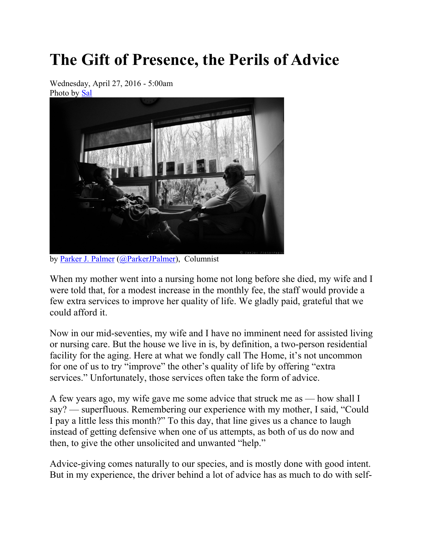## **The Gift of Presence, the Perils of Advice**

Wednesday, April 27, 2016 - 5:00am Photo by Sal



by Parker J. Palmer (@ParkerJPalmer), Columnist

When my mother went into a nursing home not long before she died, my wife and I were told that, for a modest increase in the monthly fee, the staff would provide a few extra services to improve her quality of life. We gladly paid, grateful that we could afford it.

Now in our mid-seventies, my wife and I have no imminent need for assisted living or nursing care. But the house we live in is, by definition, a two-person residential facility for the aging. Here at what we fondly call The Home, it's not uncommon for one of us to try "improve" the other's quality of life by offering "extra services." Unfortunately, those services often take the form of advice.

A few years ago, my wife gave me some advice that struck me as — how shall I say? — superfluous. Remembering our experience with my mother, I said, "Could I pay a little less this month?" To this day, that line gives us a chance to laugh instead of getting defensive when one of us attempts, as both of us do now and then, to give the other unsolicited and unwanted "help."

Advice-giving comes naturally to our species, and is mostly done with good intent. But in my experience, the driver behind a lot of advice has as much to do with self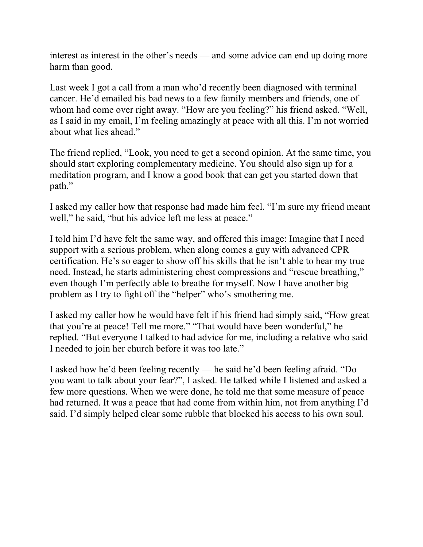interest as interest in the other's needs — and some advice can end up doing more harm than good.

Last week I got a call from a man who'd recently been diagnosed with terminal cancer. He'd emailed his bad news to a few family members and friends, one of whom had come over right away. "How are you feeling?" his friend asked. "Well, as I said in my email, I'm feeling amazingly at peace with all this. I'm not worried about what lies ahead."

The friend replied, "Look, you need to get a second opinion. At the same time, you should start exploring complementary medicine. You should also sign up for a meditation program, and I know a good book that can get you started down that path."

I asked my caller how that response had made him feel. "I'm sure my friend meant well," he said, "but his advice left me less at peace."

I told him I'd have felt the same way, and offered this image: Imagine that I need support with a serious problem, when along comes a guy with advanced CPR certification. He's so eager to show off his skills that he isn't able to hear my true need. Instead, he starts administering chest compressions and "rescue breathing," even though I'm perfectly able to breathe for myself. Now I have another big problem as I try to fight off the "helper" who's smothering me.

I asked my caller how he would have felt if his friend had simply said, "How great that you're at peace! Tell me more." "That would have been wonderful," he replied. "But everyone I talked to had advice for me, including a relative who said I needed to join her church before it was too late."

I asked how he'd been feeling recently — he said he'd been feeling afraid. "Do you want to talk about your fear?", I asked. He talked while I listened and asked a few more questions. When we were done, he told me that some measure of peace had returned. It was a peace that had come from within him, not from anything I'd said. I'd simply helped clear some rubble that blocked his access to his own soul.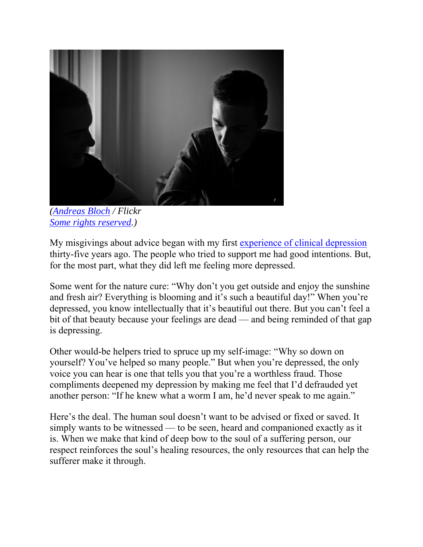

 *(Andreas Bloch / Flickr Some rights reserved.)*

My misgivings about advice began with my first experience of clinical depression thirty-five years ago. The people who tried to support me had good intentions. But, for the most part, what they did left me feeling more depressed.

Some went for the nature cure: "Why don't you get outside and enjoy the sunshine and fresh air? Everything is blooming and it's such a beautiful day!" When you're depressed, you know intellectually that it's beautiful out there. But you can't feel a bit of that beauty because your feelings are dead — and being reminded of that gap is depressing.

Other would-be helpers tried to spruce up my self-image: "Why so down on yourself? You've helped so many people." But when you're depressed, the only voice you can hear is one that tells you that you're a worthless fraud. Those compliments deepened my depression by making me feel that I'd defrauded yet another person: "If he knew what a worm I am, he'd never speak to me again."

Here's the deal. The human soul doesn't want to be advised or fixed or saved. It simply wants to be witnessed — to be seen, heard and companioned exactly as it is. When we make that kind of deep bow to the soul of a suffering person, our respect reinforces the soul's healing resources, the only resources that can help the sufferer make it through.